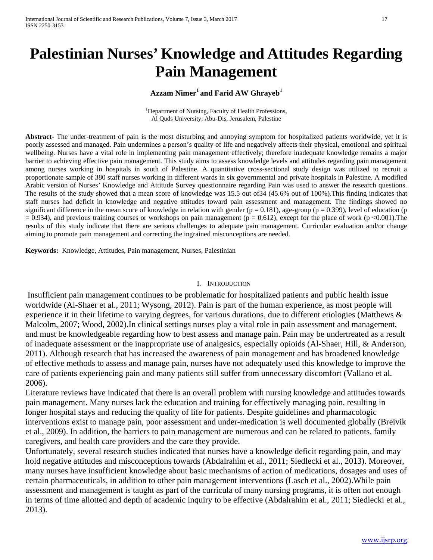# **Palestinian Nurses' Knowledge and Attitudes Regarding Pain Management**

## Azzam Nimer<sup>1</sup> and Farid AW Ghrayeb<sup>1</sup>

<sup>1</sup>Department of Nursing, Faculty of Health Professions, Al Quds University, Abu-Dis, Jerusalem, Palestine

**Abstract-** The under-treatment of pain is the most disturbing and annoying symptom for hospitalized patients worldwide, yet it is poorly assessed and managed. Pain undermines a person's quality of life and negatively affects their physical, emotional and spiritual wellbeing. Nurses have a vital role in implementing pain management effectively; therefore inadequate knowledge remains a major barrier to achieving effective pain management. This study aims to assess knowledge levels and attitudes regarding pain management among nurses working in hospitals in south of Palestine. A quantitative cross-sectional study design was utilized to recruit a proportionate sample of 380 staff nurses working in different wards in six governmental and private hospitals in Palestine. A modified Arabic version of Nurses' Knowledge and Attitude Survey questionnaire regarding Pain was used to answer the research questions. The results of the study showed that a mean score of knowledge was 15.5 out of34 (45.6% out of 100%).This finding indicates that staff nurses had deficit in knowledge and negative attitudes toward pain assessment and management. The findings showed no significant difference in the mean score of knowledge in relation with gender ( $p = 0.181$ ), age-group ( $p = 0.399$ ), level of education (p  $= 0.934$ ), and previous training courses or workshops on pain management ( $p = 0.612$ ), except for the place of work (p <0.001). The results of this study indicate that there are serious challenges to adequate pain management. Curricular evaluation and/or change aiming to promote pain management and correcting the ingrained misconceptions are needed.

**Keywords:** Knowledge, Attitudes, Pain management, Nurses, Palestinian

#### I. INTRODUCTION

Insufficient pain management continues to be problematic for hospitalized patients and public health issue worldwide (Al-Shaer et al., 2011; Wysong, 2012). Pain is part of the human experience, as most people will experience it in their lifetime to varying degrees, for various durations, due to different etiologies (Matthews & Malcolm, 2007; Wood, 2002).In clinical settings nurses play a vital role in pain assessment and management, and must be knowledgeable regarding how to best assess and manage pain. Pain may be undertreated as a result of inadequate assessment or the inappropriate use of analgesics, especially opioids (Al-Shaer, Hill, & Anderson, 2011). Although research that has increased the awareness of pain management and has broadened knowledge of effective methods to assess and manage pain, nurses have not adequately used this knowledge to improve the care of patients experiencing pain and many patients still suffer from unnecessary discomfort (Vallano et al. 2006).

Literature reviews have indicated that there is an overall problem with nursing knowledge and attitudes towards pain management. Many nurses lack the education and training for effectively managing pain, resulting in longer hospital stays and reducing the quality of life for patients. Despite guidelines and pharmacologic interventions exist to manage pain, poor assessment and under-medication is well documented globally (Breivik et al., 2009). In addition, the barriers to pain management are numerous and can be related to patients, family caregivers, and health care providers and the care they provide.

Unfortunately, several research studies indicated that nurses have a knowledge deficit regarding pain, and may hold negative attitudes and misconceptions towards (Abdalrahim et al., 2011; Siedlecki et al., 2013). Moreover, many nurses have insufficient knowledge about basic mechanisms of action of medications, dosages and uses of certain pharmaceuticals, in addition to other pain management interventions (Lasch et al., 2002).While pain assessment and management is taught as part of the curricula of many nursing programs, it is often not enough in terms of time allotted and depth of academic inquiry to be effective (Abdalrahim et al., 2011; Siedlecki et al., 2013).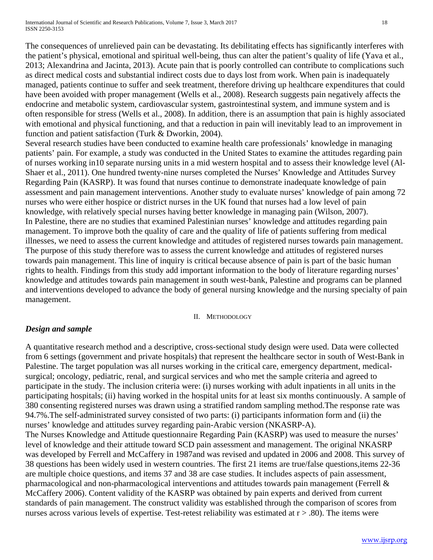The consequences of unrelieved pain can be devastating. Its debilitating effects has significantly interferes with the patient's physical, emotional and spiritual well-being, thus can alter the patient's quality of life (Yava et al., 2013; Alexandrina and Jacinta, 2013). Acute pain that is poorly controlled can contribute to complications such as direct medical costs and substantial indirect costs due to days lost from work. When pain is inadequately managed, patients continue to suffer and seek treatment, therefore driving up healthcare expenditures that could have been avoided with proper management (Wells et al., 2008). Research suggests pain negatively affects the endocrine and metabolic system, cardiovascular system, gastrointestinal system, and immune system and is often responsible for stress (Wells et al., 2008). In addition, there is an assumption that pain is highly associated with emotional and physical functioning, and that a reduction in pain will inevitably lead to an improvement in function and patient satisfaction (Turk & Dworkin, 2004).

Several research studies have been conducted to examine health care professionals' knowledge in managing patients' pain. For example, a study was conducted in the United States to examine the attitudes regarding pain of nurses working in10 separate nursing units in a mid western hospital and to assess their knowledge level (Al-Shaer et al., 2011). One hundred twenty-nine nurses completed the Nurses' Knowledge and Attitudes Survey Regarding Pain (KASRP). It was found that nurses continue to demonstrate inadequate knowledge of pain assessment and pain management interventions. Another study to evaluate nurses' knowledge of pain among 72 nurses who were either hospice or district nurses in the UK found that nurses had a low level of pain knowledge, with relatively special nurses having better knowledge in managing pain (Wilson, 2007). In Palestine, there are no studies that examined Palestinian nurses' knowledge and attitudes regarding pain management. To improve both the quality of care and the quality of life of patients suffering from medical illnesses, we need to assess the current knowledge and attitudes of registered nurses towards pain management. The purpose of this study therefore was to assess the current knowledge and attitudes of registered nurses towards pain management. This line of inquiry is critical because absence of pain is part of the basic human rights to health. Findings from this study add important information to the body of literature regarding nurses' knowledge and attitudes towards pain management in south west-bank, Palestine and programs can be planned and interventions developed to advance the body of general nursing knowledge and the nursing specialty of pain management.

#### II. METHODOLOGY

# *Design and sample*

A quantitative research method and a descriptive, cross-sectional study design were used. Data were collected from 6 settings (government and private hospitals) that represent the healthcare sector in south of West-Bank in Palestine. The target population was all nurses working in the critical care, emergency department, medicalsurgical; oncology, pediatric, renal, and surgical services and who met the sample criteria and agreed to participate in the study. The inclusion criteria were: (i) nurses working with adult inpatients in all units in the participating hospitals; (ii) having worked in the hospital units for at least six months continuously. A sample of 380 consenting registered nurses was drawn using a stratified random sampling method.The response rate was 94.7%.The self-administrated survey consisted of two parts: (i) participants information form and (ii) the nurses' knowledge and attitudes survey regarding pain-Arabic version (NKASRP-A). The Nurses Knowledge and Attitude questionnaire Regarding Pain (KASRP) was used to measure the nurses' level of knowledge and their attitude toward SCD pain assessment and management. The original NKASRP was developed by Ferrell and McCaffery in 1987and was revised and updated in 2006 and 2008. This survey of 38 questions has been widely used in western countries. The first 21 items are true/false questions,items 22-36 are multiple choice questions, and items 37 and 38 are case studies. It includes aspects of pain assessment,

pharmacological and non-pharmacological interventions and attitudes towards pain management (Ferrell & McCaffery 2006). Content validity of the KASRP was obtained by pain experts and derived from current standards of pain management. The construct validity was established through the comparison of scores from nurses across various levels of expertise. Test-retest reliability was estimated at  $r > .80$ ). The items were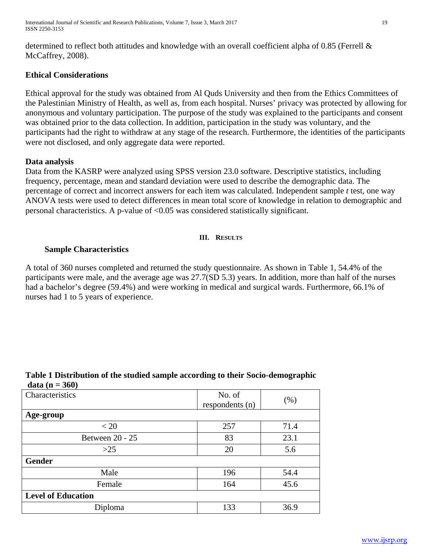determined to reflect both attitudes and knowledge with an overall coefficient alpha of 0.85 (Ferrell & McCaffrey, 2008).

# **Ethical Considerations**

Ethical approval for the study was obtained from Al Quds University and then from the Ethics Committees of the Palestinian Ministry of Health, as well as, from each hospital. Nurses' privacy was protected by allowing for anonymous and voluntary participation. The purpose of the study was explained to the participants and consent was obtained prior to the data collection. In addition, participation in the study was voluntary, and the participants had the right to withdraw at any stage of the research. Furthermore, the identities of the participants were not disclosed, and only aggregate data were reported.

## **Data analysis**

Data from the KASRP were analyzed using SPSS version 23.0 software. Descriptive statistics, including frequency, percentage, mean and standard deviation were used to describe the demographic data. The percentage of correct and incorrect answers for each item was calculated. Independent sample *t* test, one way ANOVA tests were used to detect differences in mean total score of knowledge in relation to demographic and personal characteristics. A p-value of <0.05 was considered statistically significant.

#### **III. RESULTS**

#### **Sample Characteristics**

A total of 360 nurses completed and returned the study questionnaire. As shown in Table 1, 54.4% of the participants were male, and the average age was 27.7(SD 5.3) years. In addition, more than half of the nurses had a bachelor's degree (59.4%) and were working in medical and surgical wards. Furthermore, 66.1% of nurses had 1 to 5 years of experience.

| Characteristics           | No. of<br>respondents (n) | $(\% )$ |  |  |
|---------------------------|---------------------------|---------|--|--|
| Age-group                 |                           |         |  |  |
| < 20                      | 257                       | 71.4    |  |  |
| Between 20 - 25           | 83                        | 23.1    |  |  |
| $>25$                     | 20                        | 5.6     |  |  |
| <b>Gender</b>             |                           |         |  |  |
| Male                      | 196                       | 54.4    |  |  |
| Female                    | 164                       | 45.6    |  |  |
| <b>Level of Education</b> |                           |         |  |  |
| Diploma                   | 133                       | 36.9    |  |  |

## **Table 1 Distribution of the studied sample according to their Socio-demographic data (n = 360)**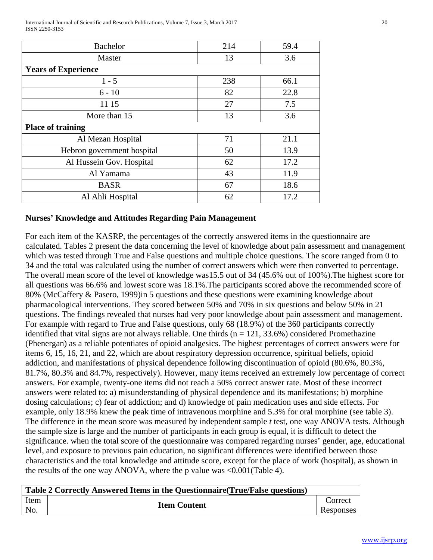International Journal of Scientific and Research Publications, Volume 7, Issue 3, March 2017 20 ISSN 2250-3153

| <b>Bachelor</b>            | 214 | 59.4 |  |  |  |
|----------------------------|-----|------|--|--|--|
| Master                     | 13  | 3.6  |  |  |  |
| <b>Years of Experience</b> |     |      |  |  |  |
| $1 - 5$                    | 238 | 66.1 |  |  |  |
| $6 - 10$                   | 82  | 22.8 |  |  |  |
| 11 15                      | 27  | 7.5  |  |  |  |
| More than 15               | 13  | 3.6  |  |  |  |
| <b>Place of training</b>   |     |      |  |  |  |
| Al Mezan Hospital          | 71  | 21.1 |  |  |  |
| Hebron government hospital | 50  | 13.9 |  |  |  |
| Al Hussein Gov. Hospital   | 62  | 17.2 |  |  |  |
| Al Yamama                  | 43  | 11.9 |  |  |  |
| <b>BASR</b>                | 67  | 18.6 |  |  |  |
| Al Ahli Hospital           | 62  | 17.2 |  |  |  |

# **Nurses' Knowledge and Attitudes Regarding Pain Management**

For each item of the KASRP, the percentages of the correctly answered items in the questionnaire are calculated. Tables 2 present the data concerning the level of knowledge about pain assessment and management which was tested through True and False questions and multiple choice questions. The score ranged from 0 to 34 and the total was calculated using the number of correct answers which were then converted to percentage. The overall mean score of the level of knowledge was15.5 out of 34 (45.6% out of 100%).The highest score for all questions was 66.6% and lowest score was 18.1%.The participants scored above the recommended score of 80% (McCaffery & Pasero, 1999)in 5 questions and these questions were examining knowledge about pharmacological interventions. They scored between 50% and 70% in six questions and below 50% in 21 questions. The findings revealed that nurses had very poor knowledge about pain assessment and management. For example with regard to True and False questions, only 68 (18.9%) of the 360 participants correctly identified that vital signs are not always reliable. One thirds  $(n = 121, 33.6%)$  considered Promethazine (Phenergan) as a reliable potentiates of opioid analgesics. The highest percentages of correct answers were for items 6, 15, 16, 21, and 22, which are about respiratory depression occurrence, spiritual beliefs, opioid addiction, and manifestations of physical dependence following discontinuation of opioid (80.6%, 80.3%, 81.7%, 80.3% and 84.7%, respectively). However, many items received an extremely low percentage of correct answers. For example, twenty-one items did not reach a 50% correct answer rate. Most of these incorrect answers were related to: a) misunderstanding of physical dependence and its manifestations; b) morphine dosing calculations; c) fear of addiction; and d) knowledge of pain medication uses and side effects. For example, only 18.9% knew the peak time of intravenous morphine and 5.3% for oral morphine (see table 3). The difference in the mean score was measured by independent sample *t* test, one way ANOVA tests. Although the sample size is large and the number of participants in each group is equal, it is difficult to detect the significance. when the total score of the questionnaire was compared regarding nurses' gender, age, educational level, and exposure to previous pain education, no significant differences were identified between those characteristics and the total knowledge and attitude score, except for the place of work (hospital), as shown in the results of the one way ANOVA, where the p value was <0.001(Table 4).

|      | Table 2 Correctly Answered Items in the Questionnaire (True/False questions) |           |
|------|------------------------------------------------------------------------------|-----------|
| Item |                                                                              | Correct   |
| No.  | <b>Item Content</b>                                                          | Responses |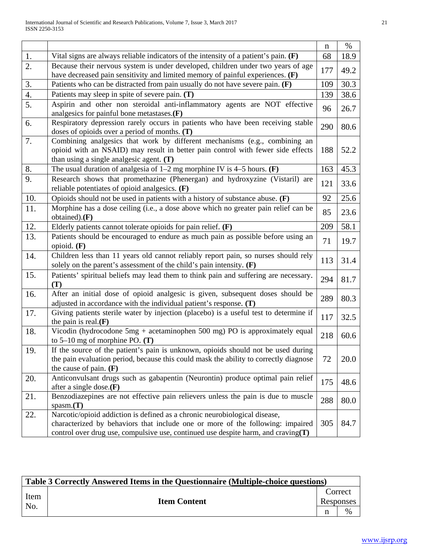|     |                                                                                                                                                                                                                                                   | $\mathbf n$ | %    |
|-----|---------------------------------------------------------------------------------------------------------------------------------------------------------------------------------------------------------------------------------------------------|-------------|------|
| 1.  | Vital signs are always reliable indicators of the intensity of a patient's pain. $(F)$                                                                                                                                                            | 68          | 18.9 |
| 2.  | Because their nervous system is under developed, children under two years of age<br>have decreased pain sensitivity and limited memory of painful experiences. $(F)$                                                                              | 177         | 49.2 |
| 3.  | Patients who can be distracted from pain usually do not have severe pain. (F)                                                                                                                                                                     | 109         | 30.3 |
| 4.  | Patients may sleep in spite of severe pain. $(T)$                                                                                                                                                                                                 | 139         | 38.6 |
| 5.  | Aspirin and other non steroidal anti-inflammatory agents are NOT effective<br>analgesics for painful bone metastases. $(F)$                                                                                                                       | 96          | 26.7 |
| 6.  | Respiratory depression rarely occurs in patients who have been receiving stable<br>doses of opioids over a period of months. $(T)$                                                                                                                | 290         | 80.6 |
| 7.  | Combining analgesics that work by different mechanisms (e.g., combining an<br>opioid with an NSAID) may result in better pain control with fewer side effects<br>than using a single analgesic agent. $(T)$                                       | 188         | 52.2 |
| 8.  | The usual duration of analgesia of $1-2$ mg morphine IV is 4-5 hours. (F)                                                                                                                                                                         | 163         | 45.3 |
| 9.  | Research shows that promethazine (Phenergan) and hydroxyzine (Vistaril) are<br>reliable potentiates of opioid analgesics. (F)                                                                                                                     | 121         | 33.6 |
| 10. | Opioids should not be used in patients with a history of substance abuse. $(F)$                                                                                                                                                                   | 92          | 25.6 |
| 11. | Morphine has a dose ceiling (i.e., a dose above which no greater pain relief can be<br>obtained). $(F)$                                                                                                                                           | 85          | 23.6 |
| 12. | Elderly patients cannot tolerate opioids for pain relief. $(F)$                                                                                                                                                                                   | 209         | 58.1 |
| 13. | Patients should be encouraged to endure as much pain as possible before using an<br>opioid. $(F)$                                                                                                                                                 | 71          | 19.7 |
| 14. | Children less than 11 years old cannot reliably report pain, so nurses should rely<br>solely on the parent's assessment of the child's pain intensity. (F)                                                                                        | 113         | 31.4 |
| 15. | Patients' spiritual beliefs may lead them to think pain and suffering are necessary.<br>(T)                                                                                                                                                       | 294         | 81.7 |
| 16. | After an initial dose of opioid analgesic is given, subsequent doses should be<br>adjusted in accordance with the individual patient's response. (T)                                                                                              | 289         | 80.3 |
| 17. | Giving patients sterile water by injection (placebo) is a useful test to determine if<br>the pain is real. $(F)$                                                                                                                                  | 117         | 32.5 |
| 18. | Vicodin (hydrocodone $5mg + \text{acetaminophen } 500 \text{ mg}$ ) PO is approximately equal<br>to $5-10$ mg of morphine PO. (T)                                                                                                                 | 218         | 60.6 |
| 19. | If the source of the patient's pain is unknown, opioids should not be used during<br>the pain evaluation period, because this could mask the ability to correctly diagnose<br>the cause of pain. $(F)$                                            | 72          | 20.0 |
| 20. | Anticonvulsant drugs such as gabapentin (Neurontin) produce optimal pain relief<br>after a single dose. $(F)$                                                                                                                                     | 175         | 48.6 |
| 21. | Benzodiazepines are not effective pain relievers unless the pain is due to muscle<br>spasm(T)                                                                                                                                                     | 288         | 80.0 |
| 22. | Narcotic/opioid addiction is defined as a chronic neurobiological disease,<br>characterized by behaviors that include one or more of the following: impaired<br>control over drug use, compulsive use, continued use despite harm, and craving(T) | 305         | 84.7 |

| Table 3 Correctly Answered Items in the Questionnaire (Multiple-choice questions) |                     |                      |      |  |
|-----------------------------------------------------------------------------------|---------------------|----------------------|------|--|
| Item                                                                              | <b>Item Content</b> | Correct<br>Responses |      |  |
| N <sub>0</sub>                                                                    |                     |                      | $\%$ |  |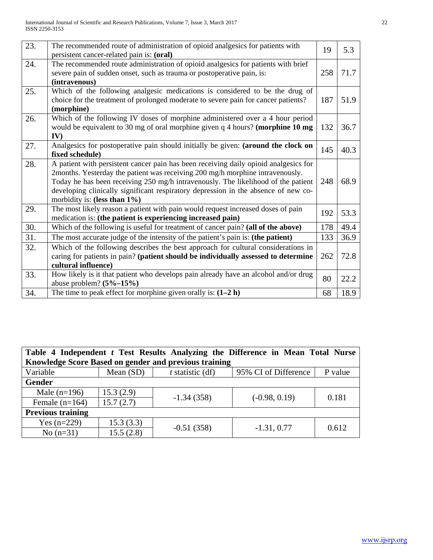| 23. | The recommended route of administration of opioid analgesics for patients with<br>persistent cancer-related pain is: (oral) | 19  | 5.3  |
|-----|-----------------------------------------------------------------------------------------------------------------------------|-----|------|
| 24. | The recommended route administration of opioid analgesics for patients with brief                                           |     |      |
|     | severe pain of sudden onset, such as trauma or postoperative pain, is:                                                      | 258 | 71.7 |
|     |                                                                                                                             |     |      |
|     | (intravenous)                                                                                                               |     |      |
| 25. | Which of the following analgesic medications is considered to be the drug of                                                |     |      |
|     | choice for the treatment of prolonged moderate to severe pain for cancer patients?                                          | 187 | 51.9 |
|     | (morphine)                                                                                                                  |     |      |
| 26. | Which of the following IV doses of morphine administered over a 4 hour period                                               |     |      |
|     | would be equivalent to 30 mg of oral morphine given q 4 hours? (morphine 10 mg                                              | 132 | 36.7 |
|     | IV)                                                                                                                         |     |      |
| 27. | Analgesics for postoperative pain should initially be given: (around the clock on                                           | 145 | 40.3 |
|     | fixed schedule)                                                                                                             |     |      |
| 28. | A patient with persistent cancer pain has been receiving daily opioid analgesics for                                        |     |      |
|     | 2months. Yesterday the patient was receiving 200 mg/h morphine intravenously.                                               |     |      |
|     | Today he has been receiving 250 mg/h intravenously. The likelihood of the patient                                           | 248 | 68.9 |
|     | developing clinically significant respiratory depression in the absence of new co-                                          |     |      |
|     | morbidity is: (less than $1\%$ )                                                                                            |     |      |
| 29. | The most likely reason a patient with pain would request increased doses of pain                                            |     |      |
|     | medication is: (the patient is experiencing increased pain)                                                                 | 192 | 53.3 |
| 30. | Which of the following is useful for treatment of cancer pain? (all of the above)                                           | 178 | 49.4 |
| 31. | The most accurate judge of the intensity of the patient's pain is: (the patient)                                            | 133 | 36.9 |
| 32. | Which of the following describes the best approach for cultural considerations in                                           |     |      |
|     | caring for patients in pain? (patient should be individually assessed to determine                                          | 262 | 72.8 |
|     | cultural influence)                                                                                                         |     |      |
| 33. | How likely is it that patient who develops pain already have an alcohol and/or drug                                         |     |      |
|     | abuse problem? $(5% -15%)$                                                                                                  | 80  | 22.2 |
| 34. | The time to peak effect for morphine given orally is: $(1-2 h)$                                                             | 68  | 18.9 |
|     |                                                                                                                             |     |      |

| Table 4 Independent t Test Results Analyzing the Difference in Mean Total Nurse |             |                    |                      |         |  |  |
|---------------------------------------------------------------------------------|-------------|--------------------|----------------------|---------|--|--|
| Knowledge Score Based on gender and previous training                           |             |                    |                      |         |  |  |
| Variable                                                                        | Mean $(SD)$ | $t$ statistic (df) | 95% CI of Difference | P value |  |  |
| Gender                                                                          |             |                    |                      |         |  |  |
| Male $(n=196)$                                                                  | 15.3(2.9)   | $-1.34(358)$       |                      | 0.181   |  |  |
| Female $(n=164)$                                                                | 15.7(2.7)   |                    | $(-0.98, 0.19)$      |         |  |  |
| <b>Previous training</b>                                                        |             |                    |                      |         |  |  |
| Yes $(n=229)$                                                                   | 15.3(3.3)   |                    | $-1.31, 0.77$        | 0.612   |  |  |
| No $(n=31)$                                                                     | 15.5(2.8)   | $-0.51(358)$       |                      |         |  |  |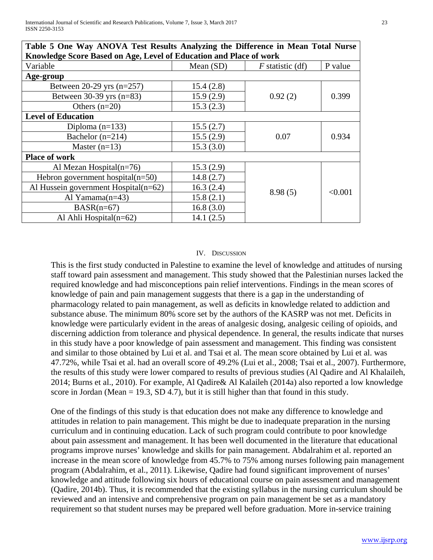| Table 5 One Way ANOVA Test Results Analyzing the Difference in Mean Total Nurse |             |                    |         |  |  |
|---------------------------------------------------------------------------------|-------------|--------------------|---------|--|--|
| Knowledge Score Based on Age, Level of Education and Place of work              |             |                    |         |  |  |
| Variable                                                                        | Mean $(SD)$ | $F$ statistic (df) | P value |  |  |
| Age-group                                                                       |             |                    |         |  |  |
| Between $20-29$ yrs $(n=257)$                                                   | 15.4(2.8)   |                    |         |  |  |
| Between $30-39$ yrs (n=83)                                                      | 15.9(2.9)   | 0.92(2)            | 0.399   |  |  |
| Others $(n=20)$                                                                 | 15.3(2.3)   |                    |         |  |  |
| <b>Level of Education</b>                                                       |             |                    |         |  |  |
| Diploma $(n=133)$                                                               | 15.5(2.7)   |                    |         |  |  |
| Bachelor $(n=214)$                                                              | 15.5(2.9)   | 0.07               | 0.934   |  |  |
| Master $(n=13)$                                                                 | 15.3(3.0)   |                    |         |  |  |
| <b>Place of work</b>                                                            |             |                    |         |  |  |
| Al Mezan Hospital $(n=76)$                                                      | 15.3(2.9)   |                    |         |  |  |
| Hebron government hospital $(n=50)$                                             | 14.8(2.7)   |                    |         |  |  |
| Al Hussein government Hospital $(n=62)$                                         | 16.3(2.4)   | 8.98(5)            | < 0.001 |  |  |
| Al Yamama $(n=43)$                                                              | 15.8(2.1)   |                    |         |  |  |
| $BASR(n=67)$                                                                    | 16.8(3.0)   |                    |         |  |  |
| Al Ahli Hospital $(n=62)$                                                       | 14.1(2.5)   |                    |         |  |  |

**Table 5 One Way ANOVA Test Results Analyzing the Difference in Mean Total Nurse** 

#### IV. DISCUSSION

This is the first study conducted in Palestine to examine the level of knowledge and attitudes of nursing staff toward pain assessment and management. This study showed that the Palestinian nurses lacked the required knowledge and had misconceptions pain relief interventions. Findings in the mean scores of knowledge of pain and pain management suggests that there is a gap in the understanding of pharmacology related to pain management, as well as deficits in knowledge related to addiction and substance abuse. The minimum 80% score set by the authors of the KASRP was not met. Deficits in knowledge were particularly evident in the areas of analgesic dosing, analgesic ceiling of opioids, and discerning addiction from tolerance and physical dependence. In general, the results indicate that nurses in this study have a poor knowledge of pain assessment and management. This finding was consistent and similar to those obtained by Lui et al. and Tsai et al. The mean score obtained by Lui et al. was 47.72%, while Tsai et al. had an overall score of 49.2% (Lui et al., 2008; Tsai et al., 2007). Furthermore, the results of this study were lower compared to results of previous studies (Al Qadire and Al Khalaileh, 2014; Burns et al., 2010). For example, Al Qadire& Al Kalaileh (2014a) also reported a low knowledge score in Jordan (Mean  $= 19.3$ , SD 4.7), but it is still higher than that found in this study.

One of the findings of this study is that education does not make any difference to knowledge and attitudes in relation to pain management. This might be due to inadequate preparation in the nursing curriculum and in continuing education. Lack of such program could contribute to poor knowledge about pain assessment and management. It has been well documented in the literature that educational programs improve nurses' knowledge and skills for pain management. Abdalrahim et al. reported an increase in the mean score of knowledge from 45.7% to 75% among nurses following pain management program (Abdalrahim, et al., 2011). Likewise, Qadire had found significant improvement of nurses' knowledge and attitude following six hours of educational course on pain assessment and management (Qadire, 2014b). Thus, it is recommended that the existing syllabus in the nursing curriculum should be reviewed and an intensive and comprehensive program on pain management be set as a mandatory requirement so that student nurses may be prepared well before graduation. More in-service training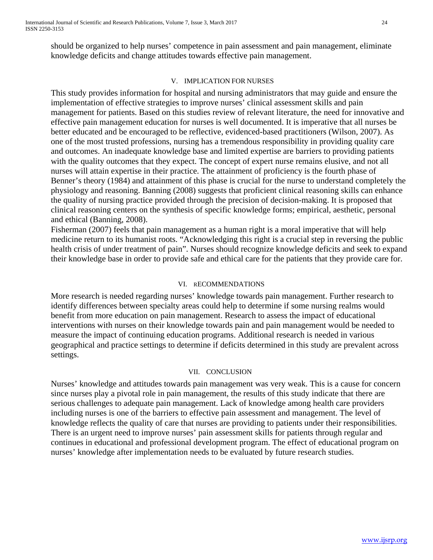should be organized to help nurses' competence in pain assessment and pain management, eliminate knowledge deficits and change attitudes towards effective pain management.

## V. IMPLICATION FOR NURSES

This study provides information for hospital and nursing administrators that may guide and ensure the implementation of effective strategies to improve nurses' clinical assessment skills and pain management for patients. Based on this studies review of relevant literature, the need for innovative and effective pain management education for nurses is well documented. It is imperative that all nurses be better educated and be encouraged to be reflective, evidenced-based practitioners (Wilson, 2007). As one of the most trusted professions, nursing has a tremendous responsibility in providing quality care and outcomes. An inadequate knowledge base and limited expertise are barriers to providing patients with the quality outcomes that they expect. The concept of expert nurse remains elusive, and not all nurses will attain expertise in their practice. The attainment of proficiency is the fourth phase of Benner's theory (1984) and attainment of this phase is crucial for the nurse to understand completely the physiology and reasoning. Banning (2008) suggests that proficient clinical reasoning skills can enhance the quality of nursing practice provided through the precision of decision-making. It is proposed that clinical reasoning centers on the synthesis of specific knowledge forms; empirical, aesthetic, personal and ethical (Banning, 2008).

Fisherman (2007) feels that pain management as a human right is a moral imperative that will help medicine return to its humanist roots. "Acknowledging this right is a crucial step in reversing the public health crisis of under treatment of pain". Nurses should recognize knowledge deficits and seek to expand their knowledge base in order to provide safe and ethical care for the patients that they provide care for.

# VI. RECOMMENDATIONS

More research is needed regarding nurses' knowledge towards pain management. Further research to identify differences between specialty areas could help to determine if some nursing realms would benefit from more education on pain management. Research to assess the impact of educational interventions with nurses on their knowledge towards pain and pain management would be needed to measure the impact of continuing education programs. Additional research is needed in various geographical and practice settings to determine if deficits determined in this study are prevalent across settings.

## VII. CONCLUSION

Nurses' knowledge and attitudes towards pain management was very weak. This is a cause for concern since nurses play a pivotal role in pain management, the results of this study indicate that there are serious challenges to adequate pain management. Lack of knowledge among health care providers including nurses is one of the barriers to effective pain assessment and management. The level of knowledge reflects the quality of care that nurses are providing to patients under their responsibilities. There is an urgent need to improve nurses' pain assessment skills for patients through regular and continues in educational and professional development program. The effect of educational program on nurses' knowledge after implementation needs to be evaluated by future research studies.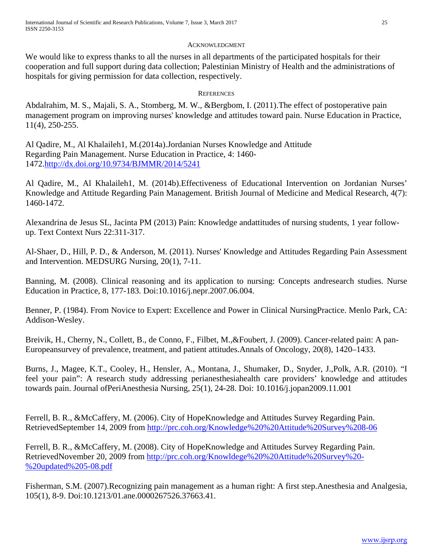#### ACKNOWLEDGMENT

We would like to express thanks to all the nurses in all departments of the participated hospitals for their cooperation and full support during data collection; Palestinian Ministry of Health and the administrations of hospitals for giving permission for data collection, respectively.

## **REFERENCES**

Abdalrahim, M. S., Majali, S. A., Stomberg, M. W., &Bergbom, I. (2011).The effect of postoperative pain management program on improving nurses' knowledge and attitudes toward pain. Nurse Education in Practice, 11(4), 250-255.

Al Qadire, M., Al Khalaileh1, M.(2014a).Jordanian Nurses Knowledge and Attitude Regarding Pain Management. Nurse Education in Practice, 4: 1460- 1472[.http://dx.doi.org/10.9734/BJMMR/2014/5241](http://dx.doi.org/10.9734/BJMMR/2014/5241)

Al Qadire, M., Al Khalaileh1, M. (2014b).Effectiveness of Educational Intervention on Jordanian Nurses' Knowledge and Attitude Regarding Pain Management. British Journal of Medicine and Medical Research, 4(7): 1460-1472.

Alexandrina de Jesus SL, Jacinta PM (2013) Pain: Knowledge andattitudes of nursing students, 1 year followup. Text Context Nurs 22:311-317.

Al-Shaer, D., Hill, P. D., & Anderson, M. (2011). Nurses' Knowledge and Attitudes Regarding Pain Assessment and Intervention. MEDSURG Nursing, 20(1), 7-11.

Banning, M. (2008). Clinical reasoning and its application to nursing: Concepts andresearch studies. Nurse Education in Practice, 8, 177-183. Doi:10.1016/j.nepr.2007.06.004.

Benner, P. (1984). From Novice to Expert: Excellence and Power in Clinical NursingPractice. Menlo Park, CA: Addison-Wesley.

Breivik, H., Cherny, N., Collett, B., de Conno, F., Filbet, M.,&Foubert, J. (2009). Cancer-related pain: A pan-Europeansurvey of prevalence, treatment, and patient attitudes.Annals of Oncology, 20(8), 1420–1433.

Burns, J., Magee, K.T., Cooley, H., Hensler, A., Montana, J., Shumaker, D., Snyder, J.,Polk, A.R. (2010). "I feel your pain": A research study addressing perianesthesiahealth care providers' knowledge and attitudes towards pain. Journal ofPeriAnesthesia Nursing, 25(1), 24-28. Doi: 10.1016/j.jopan2009.11.001

Ferrell, B. R., &McCaffery, M. (2006). City of HopeKnowledge and Attitudes Survey Regarding Pain. RetrievedSeptember 14, 2009 from<http://prc.coh.org/Knowledge%20%20Attitude%20Survey%208-06>

Ferrell, B. R., &McCaffery, M. (2008). City of HopeKnowledge and Attitudes Survey Regarding Pain. RetrievedNovember 20, 2009 from [http://prc.coh.org/Knowldege%20%20Attitude%20Survey%20-](http://prc.coh.org/Knowldege%20%20Attitude%20Survey%20-%20updated%205-08.pdf) [%20updated%205-08.pdf](http://prc.coh.org/Knowldege%20%20Attitude%20Survey%20-%20updated%205-08.pdf)

Fisherman, S.M. (2007).Recognizing pain management as a human right: A first step.Anesthesia and Analgesia, 105(1), 8-9. Doi:10.1213/01.ane.0000267526.37663.41.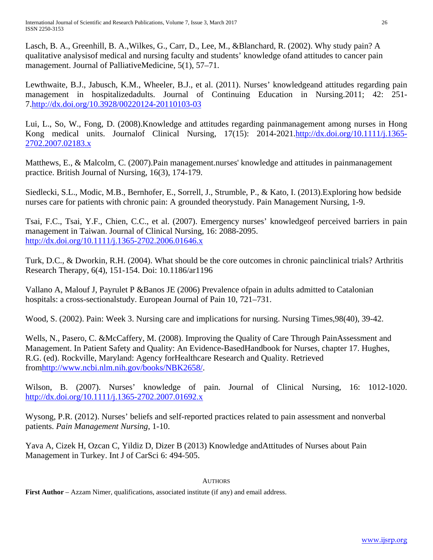Lasch, B. A., Greenhill, B. A.,Wilkes, G., Carr, D., Lee, M., &Blanchard, R. (2002). Why study pain? A qualitative analysisof medical and nursing faculty and students' knowledge ofand attitudes to cancer pain management. Journal of PalliativeMedicine, 5(1), 57–71.

Lewthwaite, B.J., Jabusch, K.M., Wheeler, B.J., et al. (2011). Nurses' knowledgeand attitudes regarding pain management in hospitalizedadults. Journal of Continuing Education in Nursing.2011; 42: 251- 7[.http://dx.doi.org/10.3928/00220124-20110103-03](http://dx.doi.org/10.3928/00220124-20110103-03)

Lui, L., So, W., Fong, D. (2008).Knowledge and attitudes regarding painmanagement among nurses in Hong Kong medical units. Journalof Clinical Nursing, 17(15): 2014-2021[.http://dx.doi.org/10.1111/j.1365-](http://dx.doi.org/10.1111/j.1365-2702.2007.02183.x) [2702.2007.02183.x](http://dx.doi.org/10.1111/j.1365-2702.2007.02183.x)

Matthews, E., & Malcolm, C. (2007).Pain management.nurses' knowledge and attitudes in painmanagement practice. British Journal of Nursing, 16(3), 174-179.

Siedlecki, S.L., Modic, M.B., Bernhofer, E., Sorrell, J., Strumble, P., & Kato, I. (2013).Exploring how bedside nurses care for patients with chronic pain: A grounded theorystudy. Pain Management Nursing, 1-9.

Tsai, F.C., Tsai, Y.F., Chien, C.C., et al. (2007). Emergency nurses' knowledgeof perceived barriers in pain management in Taiwan. Journal of Clinical Nursing, 16: 2088-2095. <http://dx.doi.org/10.1111/j.1365-2702.2006.01646.x>

Turk, D.C., & Dworkin, R.H. (2004). What should be the core outcomes in chronic painclinical trials? Arthritis Research Therapy, 6(4), 151-154. Doi: 10.1186/ar1196

Vallano A, Malouf J, Payrulet P &Banos JE (2006) Prevalence ofpain in adults admitted to Catalonian hospitals: a cross-sectionalstudy. European Journal of Pain 10, 721–731.

Wood, S. (2002). Pain: Week 3. Nursing care and implications for nursing. Nursing Times,98(40), 39-42.

Wells, N., Pasero, C. &McCaffery, M. (2008). Improving the Quality of Care Through PainAssessment and Management. In Patient Safety and Quality: An Evidence-BasedHandbook for Nurses, chapter 17. Hughes, R.G. (ed). Rockville, Maryland: Agency forHealthcare Research and Quality. Retrieved fro[mhttp://www.ncbi.nlm.nih.gov/books/NBK2658/.](http://www.ncbi.nlm.nih.gov/books/NBK2658/)

Wilson, B. (2007). Nurses' knowledge of pain. Journal of Clinical Nursing, 16: 1012-1020. <http://dx.doi.org/10.1111/j.1365-2702.2007.01692.x>

Wysong, P.R. (2012). Nurses' beliefs and self-reported practices related to pain assessment and nonverbal patients. *Pain Management Nursing*, 1-10.

Yava A, Cizek H, Ozcan C, Yildiz D, Dizer B (2013) Knowledge andAttitudes of Nurses about Pain Management in Turkey. Int J of CarSci 6: 494-505.

## **AUTHORS**

**First Author** – Azzam Nimer, qualifications, associated institute (if any) and email address.